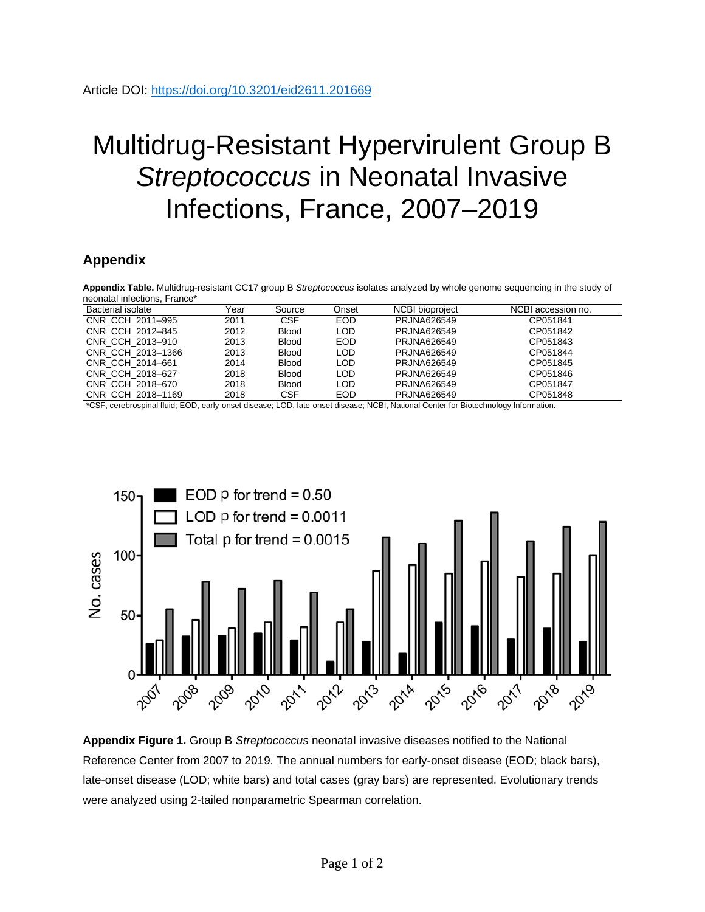## Multidrug-Resistant Hypervirulent Group B *Streptococcus* in Neonatal Invasive Infections, France, 2007–2019

## **Appendix**

**Appendix Table.** Multidrug-resistant CC17 group B *Streptococcus* isolates analyzed by whole genome sequencing in the study of neonatal infections, France\*

| Bacterial isolate | Year | Source                      | Onset         | <b>NCBI</b> bioproject | NCBI accession no. |
|-------------------|------|-----------------------------|---------------|------------------------|--------------------|
| CNR CCH 2011-995  | 2011 | <b>CSF</b>                  | EOD.          | PRJNA626549            | CP051841           |
| CNR CCH 2012-845  | 2012 | <b>Blood</b>                | LOD           | PRJNA626549            | CP051842           |
| CNR CCH 2013-910  | 2013 | <b>Blood</b>                | <b>EOD</b>    | PRJNA626549            | CP051843           |
| CNR CCH 2013-1366 | 2013 | <b>Blood</b>                | LOD           | PRJNA626549            | CP051844           |
| CNR CCH 2014-661  | 2014 | <b>Blood</b>                | LOD           | PRJNA626549            | CP051845           |
| CNR CCH 2018-627  | 2018 | <b>Blood</b>                | LOD           | PRJNA626549            | CP051846           |
| CNR CCH 2018-670  | 2018 | <b>Blood</b>                | LOD           | PRJNA626549            | CP051847           |
| CNR CCH 2018-1169 | 2018 | <b>CSF</b>                  | <b>EOD</b>    | PRJNA626549            | CP051848           |
| $- - - -$         | .    | $\sim$ $\sim$ $\sim$ $\sim$ | $\sim$ $\sim$ | ---<br>$\cdots$        | $\cdot$ $\cdot$    |

\*CSF, cerebrospinal fluid; EOD, early-onset disease; LOD, late-onset disease; NCBI, National Center for Biotechnology Information.



**Appendix Figure 1.** Group B *Streptococcus* neonatal invasive diseases notified to the National Reference Center from 2007 to 2019. The annual numbers for early-onset disease (EOD; black bars), late-onset disease (LOD; white bars) and total cases (gray bars) are represented. Evolutionary trends were analyzed using 2-tailed nonparametric Spearman correlation.